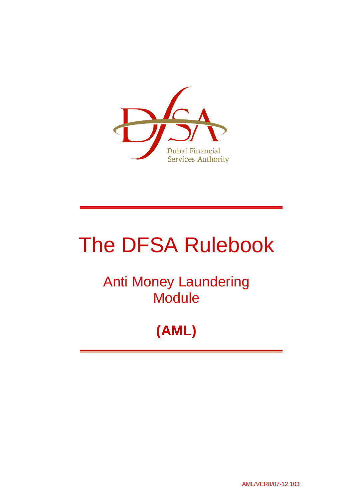

# The DFSA Rulebook

## Anti Money Laundering **Module**

## **(AML)**

AML/VER8/07-12 103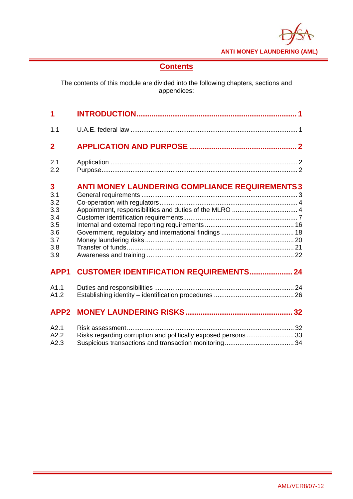**ANTI MONEY LAUNDERING (AML)** 

## **Contents**

The contents of this module are divided into the following chapters, sections and appendices:

| 1                                                                |                                                                                                                  |
|------------------------------------------------------------------|------------------------------------------------------------------------------------------------------------------|
| 1.1                                                              |                                                                                                                  |
| $\overline{2}$                                                   |                                                                                                                  |
| 2.1<br>2.2                                                       |                                                                                                                  |
| 3<br>3.1<br>3.2<br>3.3<br>3.4<br>3.5<br>3.6<br>3.7<br>3.8<br>3.9 | <b>ANTI MONEY LAUNDERING COMPLIANCE REQUIREMENTS3</b><br>Appointment, responsibilities and duties of the MLRO  4 |
| APP <sub>1</sub>                                                 | <b>CUSTOMER IDENTIFICATION REQUIREMENTS 24</b>                                                                   |
| A1.1<br>A1.2                                                     |                                                                                                                  |
| APP <sub>2</sub>                                                 |                                                                                                                  |
| A2.1<br>A2.2<br>A2.3                                             | Risks regarding corruption and politically exposed persons  33                                                   |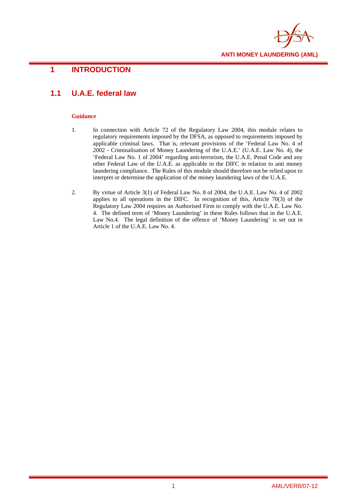

## **1 INTRODUCTION**

## **1.1 U.A.E. federal law**

- 1. In connection with Article 72 of the Regulatory Law 2004, this module relates to regulatory requirements imposed by the DFSA, as opposed to requirements imposed by applicable criminal laws. That is, relevant provisions of the 'Federal Law No. 4 of 2002 - Criminalisation of Money Laundering of the U.A.E.' (U.A.E. Law No. 4), the 'Federal Law No. 1 of 2004' regarding anti-terrorism, the U.A.E. Penal Code and any other Federal Law of the U.A.E. as applicable in the DIFC in relation to anti money laundering compliance. The Rules of this module should therefore not be relied upon to interpret or determine the application of the money laundering laws of the U.A.E.
- 2. By virtue of Article 3(1) of Federal Law No. 8 of 2004, the U.A.E. Law No. 4 of 2002 applies to all operations in the DIFC. In recognition of this, Article 70(3) of the Regulatory Law 2004 requires an Authorised Firm to comply with the U.A.E. Law No. 4. The defined term of 'Money Laundering' in these Rules follows that in the U.A.E. Law No.4. The legal definition of the offence of 'Money Laundering' is set out in Article 1 of the U.A.E. Law No. 4.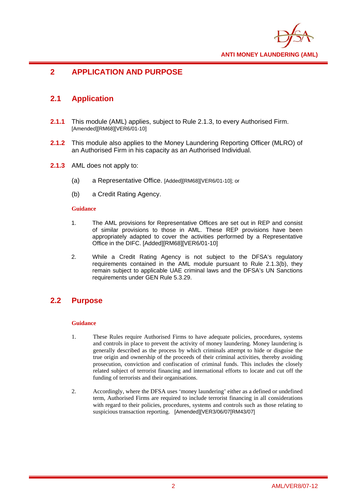

## **2 APPLICATION AND PURPOSE**

## **2.1 Application**

- **2.1.1** This module (AML) applies, subject to Rule 2.1.3, to every Authorised Firm. [Amended][RM68][VER6/01-10]
- **2.1.2** This module also applies to the Money Laundering Reporting Officer (MLRO) of an Authorised Firm in his capacity as an Authorised Individual.
- **2.1.3** AML does not apply to:
	- (a) a Representative Office. [Added][RM68][VER6/01-10]; or
	- (b) a Credit Rating Agency.

#### **Guidance**

- 1. The AML provisions for Representative Offices are set out in REP and consist of similar provisions to those in AML. These REP provisions have been appropriately adapted to cover the activities performed by a Representative Office in the DIFC. [Added][RM68][VER6/01-10]
- 2. While a Credit Rating Agency is not subject to the DFSA's regulatory requirements contained in the AML module pursuant to Rule 2.1.3(b), they remain subject to applicable UAE criminal laws and the DFSA's UN Sanctions requirements under GEN Rule 5.3.29.

## **2.2 Purpose**

- 1. These Rules require Authorised Firms to have adequate policies, procedures, systems and controls in place to prevent the activity of money laundering. Money laundering is generally described as the process by which criminals attempt to hide or disguise the true origin and ownership of the proceeds of their criminal activities, thereby avoiding prosecution, conviction and confiscation of criminal funds. This includes the closely related subject of terrorist financing and international efforts to locate and cut off the funding of terrorists and their organisations.
- 2. Accordingly, where the DFSA uses 'money laundering' either as a defined or undefined term, Authorised Firms are required to include terrorist financing in all considerations with regard to their policies, procedures, systems and controls such as those relating to suspicious transaction reporting. [Amended][VER3/06/07[RM43/07]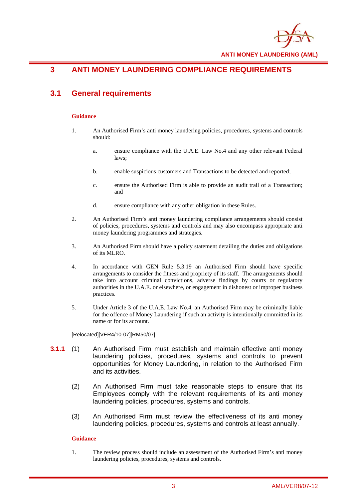

**ANTI MONEY LAUNDERING (AML)** 

## **3 ANTI MONEY LAUNDERING COMPLIANCE REQUIREMENTS**

## **3.1 General requirements**

#### **Guidance**

- 1. An Authorised Firm's anti money laundering policies, procedures, systems and controls should:
	- a. ensure compliance with the U.A.E. Law No.4 and any other relevant Federal laws;
	- b. enable suspicious customers and Transactions to be detected and reported;
	- c. ensure the Authorised Firm is able to provide an audit trail of a Transaction; and
	- d. ensure compliance with any other obligation in these Rules.
- 2. An Authorised Firm's anti money laundering compliance arrangements should consist of policies, procedures, systems and controls and may also encompass appropriate anti money laundering programmes and strategies.
- 3. An Authorised Firm should have a policy statement detailing the duties and obligations of its MLRO.
- 4. In accordance with GEN Rule 5.3.19 an Authorised Firm should have specific arrangements to consider the fitness and propriety of its staff. The arrangements should take into account criminal convictions, adverse findings by courts or regulatory authorities in the U.A.E. or elsewhere, or engagement in dishonest or improper business practices.
- 5. Under Article 3 of the U.A.E. Law No.4, an Authorised Firm may be criminally liable for the offence of Money Laundering if such an activity is intentionally committed in its name or for its account.

#### [Relocated][VER4/10-07][RM50/07]

- **3.1.1** (1) An Authorised Firm must establish and maintain effective anti money laundering policies, procedures, systems and controls to prevent opportunities for Money Laundering, in relation to the Authorised Firm and its activities.
	- (2) An Authorised Firm must take reasonable steps to ensure that its Employees comply with the relevant requirements of its anti money laundering policies, procedures, systems and controls.
	- (3) An Authorised Firm must review the effectiveness of its anti money laundering policies, procedures, systems and controls at least annually.

#### **Guidance**

1. The review process should include an assessment of the Authorised Firm's anti money laundering policies, procedures, systems and controls.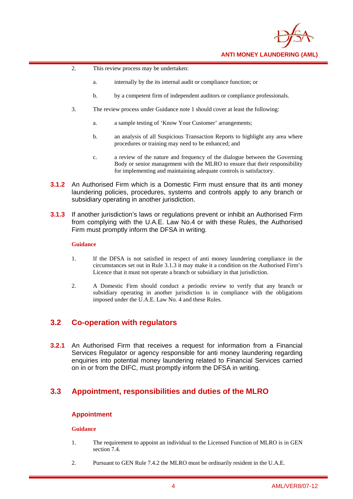

- 2. This review process may be undertaken:
	- a. internally by the its internal audit or compliance function; or
	- b. by a competent firm of independent auditors or compliance professionals.
- 3. The review process under Guidance note 1 should cover at least the following:
	- a. a sample testing of 'Know Your Customer' arrangements;
	- b. an analysis of all Suspicious Transaction Reports to highlight any area where procedures or training may need to be enhanced; and
	- c. a review of the nature and frequency of the dialogue between the Governing Body or senior management with the MLRO to ensure that their responsibility for implementing and maintaining adequate controls is satisfactory.
- **3.1.2** An Authorised Firm which is a Domestic Firm must ensure that its anti money laundering policies, procedures, systems and controls apply to any branch or subsidiary operating in another jurisdiction.
- **3.1.3** If another jurisdiction's laws or regulations prevent or inhibit an Authorised Firm from complying with the U.A.E. Law No.4 or with these Rules, the Authorised Firm must promptly inform the DFSA in writing.

#### **Guidance**

- 1. If the DFSA is not satisfied in respect of anti money laundering compliance in the circumstances set out in Rule 3.1.3 it may make it a condition on the Authorised Firm's Licence that it must not operate a branch or subsidiary in that jurisdiction.
- 2. A Domestic Firm should conduct a periodic review to verify that any branch or subsidiary operating in another jurisdiction is in compliance with the obligations imposed under the U.A.E. Law No. 4 and these Rules.

### **3.2 Co-operation with regulators**

**3.2.1** An Authorised Firm that receives a request for information from a Financial Services Regulator or agency responsible for anti money laundering regarding enquiries into potential money laundering related to Financial Services carried on in or from the DIFC, must promptly inform the DFSA in writing.

## **3.3 Appointment, responsibilities and duties of the MLRO**

#### **Appointment**

- 1. The requirement to appoint an individual to the Licensed Function of MLRO is in GEN section 7.4.
- 2. Pursuant to GEN Rule 7.4.2 the MLRO must be ordinarily resident in the U.A.E.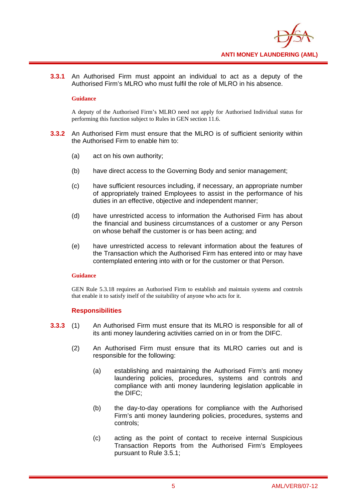

**3.3.1** An Authorised Firm must appoint an individual to act as a deputy of the Authorised Firm's MLRO who must fulfil the role of MLRO in his absence.

#### **Guidance**

A deputy of the Authorised Firm's MLRO need not apply for Authorised Individual status for performing this function subject to Rules in GEN section 11.6.

- **3.3.2** An Authorised Firm must ensure that the MLRO is of sufficient seniority within the Authorised Firm to enable him to:
	- (a) act on his own authority;
	- (b) have direct access to the Governing Body and senior management;
	- (c) have sufficient resources including, if necessary, an appropriate number of appropriately trained Employees to assist in the performance of his duties in an effective, objective and independent manner;
	- (d) have unrestricted access to information the Authorised Firm has about the financial and business circumstances of a customer or any Person on whose behalf the customer is or has been acting; and
	- (e) have unrestricted access to relevant information about the features of the Transaction which the Authorised Firm has entered into or may have contemplated entering into with or for the customer or that Person.

#### **Guidance**

GEN Rule 5.3.18 requires an Authorised Firm to establish and maintain systems and controls that enable it to satisfy itself of the suitability of anyone who acts for it.

#### **Responsibilities**

- **3.3.3** (1) An Authorised Firm must ensure that its MLRO is responsible for all of its anti money laundering activities carried on in or from the DIFC.
	- (2) An Authorised Firm must ensure that its MLRO carries out and is responsible for the following:
		- (a) establishing and maintaining the Authorised Firm's anti money laundering policies, procedures, systems and controls and compliance with anti money laundering legislation applicable in the DIFC;
		- (b) the day-to-day operations for compliance with the Authorised Firm's anti money laundering policies, procedures, systems and controls;
		- (c) acting as the point of contact to receive internal Suspicious Transaction Reports from the Authorised Firm's Employees pursuant to Rule 3.5.1;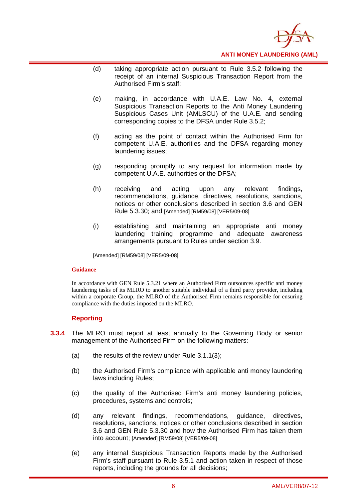

- (d) taking appropriate action pursuant to Rule 3.5.2 following the receipt of an internal Suspicious Transaction Report from the Authorised Firm's staff;
- (e) making, in accordance with U.A.E. Law No. 4, external Suspicious Transaction Reports to the Anti Money Laundering Suspicious Cases Unit (AMLSCU) of the U.A.E. and sending corresponding copies to the DFSA under Rule 3.5.2;
- (f) acting as the point of contact within the Authorised Firm for competent U.A.E. authorities and the DFSA regarding money laundering issues;
- (g) responding promptly to any request for information made by competent U.A.E. authorities or the DFSA;
- (h) receiving and acting upon any relevant findings, recommendations, guidance, directives, resolutions, sanctions, notices or other conclusions described in section 3.6 and GEN Rule 5.3.30; and [Amended] [RM59/08] [VER5/09-08]
- (i) establishing and maintaining an appropriate anti money laundering training programme and adequate awareness arrangements pursuant to Rules under section 3.9.

[Amended] [RM59/08] [VER5/09-08]

#### **Guidance**

In accordance with GEN Rule 5.3.21 where an Authorised Firm outsources specific anti money laundering tasks of its MLRO to another suitable individual of a third party provider, including within a corporate Group, the MLRO of the Authorised Firm remains responsible for ensuring compliance with the duties imposed on the MLRO.

#### **Reporting**

- **3.3.4** The MLRO must report at least annually to the Governing Body or senior management of the Authorised Firm on the following matters:
	- (a) the results of the review under Rule  $3.1.1(3)$ ;
	- (b) the Authorised Firm's compliance with applicable anti money laundering laws including Rules;
	- (c) the quality of the Authorised Firm's anti money laundering policies, procedures, systems and controls;
	- (d) any relevant findings, recommendations, guidance, directives, resolutions, sanctions, notices or other conclusions described in section 3.6 and GEN Rule 5.3.30 and how the Authorised Firm has taken them into account; [Amended] [RM59/08] [VER5/09-08]
	- (e) any internal Suspicious Transaction Reports made by the Authorised Firm's staff pursuant to Rule 3.5.1 and action taken in respect of those reports, including the grounds for all decisions;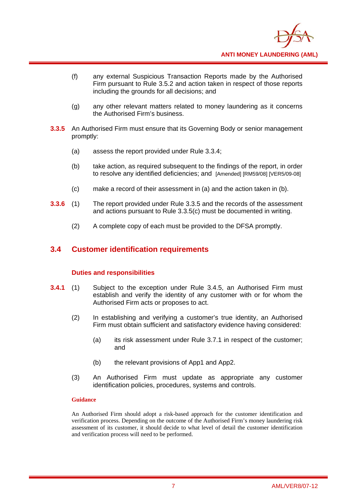

- (f) any external Suspicious Transaction Reports made by the Authorised Firm pursuant to Rule 3.5.2 and action taken in respect of those reports including the grounds for all decisions; and
- (g) any other relevant matters related to money laundering as it concerns the Authorised Firm's business.
- **3.3.5** An Authorised Firm must ensure that its Governing Body or senior management promptly:
	- (a) assess the report provided under Rule 3.3.4;
	- (b) take action, as required subsequent to the findings of the report, in order to resolve any identified deficiencies; and [Amended] [RM59/08] [VER5/09-08]
	- (c) make a record of their assessment in (a) and the action taken in (b).
- **3.3.6** (1) The report provided under Rule 3.3.5 and the records of the assessment and actions pursuant to Rule 3.3.5(c) must be documented in writing.
	- (2) A complete copy of each must be provided to the DFSA promptly.

### **3.4 Customer identification requirements**

#### **Duties and responsibilities**

- **3.4.1** (1) Subject to the exception under Rule 3.4.5, an Authorised Firm must establish and verify the identity of any customer with or for whom the Authorised Firm acts or proposes to act.
	- (2) In establishing and verifying a customer's true identity, an Authorised Firm must obtain sufficient and satisfactory evidence having considered:
		- (a) its risk assessment under Rule 3.7.1 in respect of the customer; and
		- (b) the relevant provisions of App1 and App2.
	- (3) An Authorised Firm must update as appropriate any customer identification policies, procedures, systems and controls.

#### **Guidance**

An Authorised Firm should adopt a risk-based approach for the customer identification and verification process. Depending on the outcome of the Authorised Firm's money laundering risk assessment of its customer, it should decide to what level of detail the customer identification and verification process will need to be performed.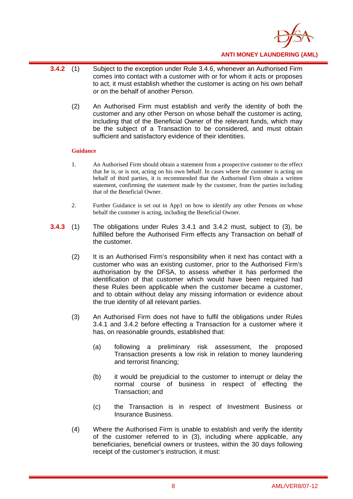

- **3.4.2** (1) Subject to the exception under Rule 3.4.6, whenever an Authorised Firm comes into contact with a customer with or for whom it acts or proposes to act, it must establish whether the customer is acting on his own behalf or on the behalf of another Person.
	- (2) An Authorised Firm must establish and verify the identity of both the customer and any other Person on whose behalf the customer is acting, including that of the Beneficial Owner of the relevant funds, which may be the subject of a Transaction to be considered, and must obtain sufficient and satisfactory evidence of their identities.

- 1. An Authorised Firm should obtain a statement from a prospective customer to the effect that he is, or is not, acting on his own behalf. In cases where the customer is acting on behalf of third parties, it is recommended that the Authorised Firm obtain a written statement, confirming the statement made by the customer, from the parties including that of the Beneficial Owner.
- 2. Further Guidance is set out in App1 on how to identify any other Persons on whose behalf the customer is acting, including the Beneficial Owner.
- **3.4.3** (1) The obligations under Rules 3.4.1 and 3.4.2 must, subject to (3), be fulfilled before the Authorised Firm effects any Transaction on behalf of the customer.
	- (2) It is an Authorised Firm's responsibility when it next has contact with a customer who was an existing customer, prior to the Authorised Firm's authorisation by the DFSA, to assess whether it has performed the identification of that customer which would have been required had these Rules been applicable when the customer became a customer, and to obtain without delay any missing information or evidence about the true identity of all relevant parties.
	- (3) An Authorised Firm does not have to fulfil the obligations under Rules 3.4.1 and 3.4.2 before effecting a Transaction for a customer where it has, on reasonable grounds, established that:
		- (a) following a preliminary risk assessment, the proposed Transaction presents a low risk in relation to money laundering and terrorist financing;
		- (b) it would be prejudicial to the customer to interrupt or delay the normal course of business in respect of effecting the Transaction; and
		- (c) the Transaction is in respect of Investment Business or Insurance Business.
	- (4) Where the Authorised Firm is unable to establish and verify the identity of the customer referred to in (3), including where applicable, any beneficiaries, beneficial owners or trustees, within the 30 days following receipt of the customer's instruction, it must: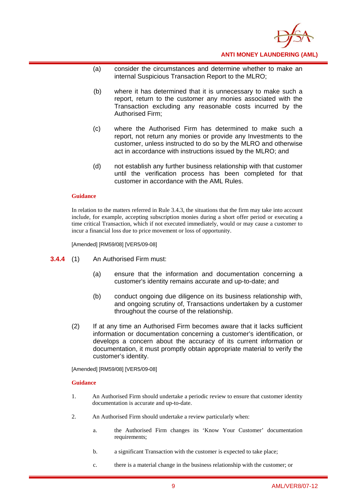

- (a) consider the circumstances and determine whether to make an internal Suspicious Transaction Report to the MLRO;
- (b) where it has determined that it is unnecessary to make such a report, return to the customer any monies associated with the Transaction excluding any reasonable costs incurred by the Authorised Firm;
- (c) where the Authorised Firm has determined to make such a report, not return any monies or provide any Investments to the customer, unless instructed to do so by the MLRO and otherwise act in accordance with instructions issued by the MLRO; and
- (d) not establish any further business relationship with that customer until the verification process has been completed for that customer in accordance with the AML Rules.

#### **Guidance**

In relation to the matters referred in Rule 3.4.3, the situations that the firm may take into account include, for example, accepting subscription monies during a short offer period or executing a time critical Transaction, which if not executed immediately, would or may cause a customer to incur a financial loss due to price movement or loss of opportunity.

[Amended] [RM59/08] [VER5/09-08]

- **3.4.4** (1) An Authorised Firm must:
	- (a) ensure that the information and documentation concerning a customer's identity remains accurate and up-to-date; and
	- (b) conduct ongoing due diligence on its business relationship with, and ongoing scrutiny of, Transactions undertaken by a customer throughout the course of the relationship.
	- (2) If at any time an Authorised Firm becomes aware that it lacks sufficient information or documentation concerning a customer's identification, or develops a concern about the accuracy of its current information or documentation, it must promptly obtain appropriate material to verify the customer's identity.

[Amended] [RM59/08] [VER5/09-08]

- 1. An Authorised Firm should undertake a periodic review to ensure that customer identity documentation is accurate and up-to-date.
- 2. An Authorised Firm should undertake a review particularly when:
	- a. the Authorised Firm changes its 'Know Your Customer' documentation requirements;
	- b. a significant Transaction with the customer is expected to take place;
	- c. there is a material change in the business relationship with the customer; or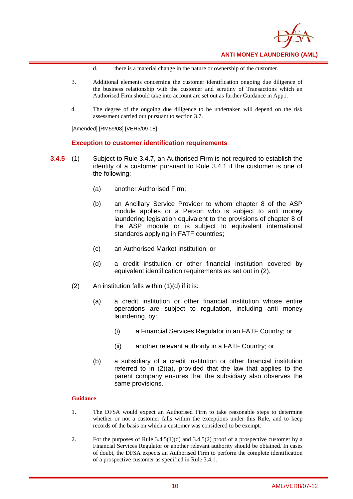

- d. there is a material change in the nature or ownership of the customer.
- 3. Additional elements concerning the customer identification ongoing due diligence of the business relationship with the customer and scrutiny of Transactions which an Authorised Firm should take into account are set out as further Guidance in App1.
- 4. The degree of the ongoing due diligence to be undertaken will depend on the risk assessment carried out pursuant to section 3.7.

[Amended] [RM59/08] [VER5/09-08]

#### **Exception to customer identification requirements**

- **3.4.5** (1) Subject to Rule 3.4.7, an Authorised Firm is not required to establish the identity of a customer pursuant to Rule 3.4.1 if the customer is one of the following:
	- (a) another Authorised Firm;
	- (b) an Ancillary Service Provider to whom chapter 8 of the ASP module applies or a Person who is subject to anti money laundering legislation equivalent to the provisions of chapter 8 of the ASP module or is subject to equivalent international standards applying in FATF countries;
	- (c) an Authorised Market Institution; or
	- (d) a credit institution or other financial institution covered by equivalent identification requirements as set out in (2).
	- $(2)$  An institution falls within  $(1)(d)$  if it is:
		- (a) a credit institution or other financial institution whose entire operations are subject to regulation, including anti money laundering, by:
			- (i) a Financial Services Regulator in an FATF Country; or
			- (ii) another relevant authority in a FATF Country; or
		- (b) a subsidiary of a credit institution or other financial institution referred to in (2)(a), provided that the law that applies to the parent company ensures that the subsidiary also observes the same provisions.

- 1. The DFSA would expect an Authorised Firm to take reasonable steps to determine whether or not a customer falls within the exceptions under this Rule, and to keep records of the basis on which a customer was considered to be exempt.
- 2. For the purposes of Rule  $3.4.5(1)(d)$  and  $3.4.5(2)$  proof of a prospective customer by a Financial Services Regulator or another relevant authority should be obtained. In cases of doubt, the DFSA expects an Authorised Firm to perform the complete identification of a prospective customer as specified in Rule 3.4.1.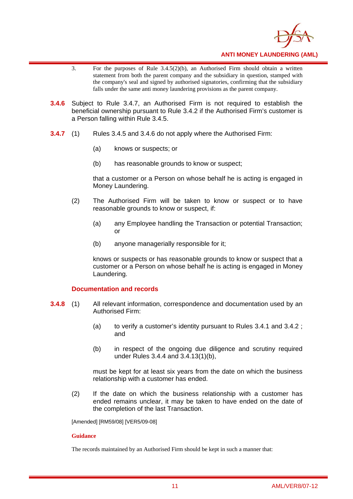

- 3. For the purposes of Rule 3.4.5(2)(b), an Authorised Firm should obtain a written statement from both the parent company and the subsidiary in question, stamped with the company's seal and signed by authorised signatories, confirming that the subsidiary falls under the same anti money laundering provisions as the parent company.
- **3.4.6** Subject to Rule 3.4.7, an Authorised Firm is not required to establish the beneficial ownership pursuant to Rule 3.4.2 if the Authorised Firm's customer is a Person falling within Rule 3.4.5.
- **3.4.7** (1) Rules 3.4.5 and 3.4.6 do not apply where the Authorised Firm:
	- (a) knows or suspects; or
	- (b) has reasonable grounds to know or suspect;

that a customer or a Person on whose behalf he is acting is engaged in Money Laundering.

- (2) The Authorised Firm will be taken to know or suspect or to have reasonable grounds to know or suspect, if:
	- (a) any Employee handling the Transaction or potential Transaction; or
	- (b) anyone managerially responsible for it;

knows or suspects or has reasonable grounds to know or suspect that a customer or a Person on whose behalf he is acting is engaged in Money Laundering.

#### **Documentation and records**

- **3.4.8** (1) All relevant information, correspondence and documentation used by an Authorised Firm:
	- (a) to verify a customer's identity pursuant to Rules 3.4.1 and 3.4.2 ; and
	- (b) in respect of the ongoing due diligence and scrutiny required under Rules 3.4.4 and 3.4.13(1)(b),

must be kept for at least six years from the date on which the business relationship with a customer has ended.

(2) If the date on which the business relationship with a customer has ended remains unclear, it may be taken to have ended on the date of the completion of the last Transaction.

[Amended] [RM59/08] [VER5/09-08]

#### **Guidance**

The records maintained by an Authorised Firm should be kept in such a manner that: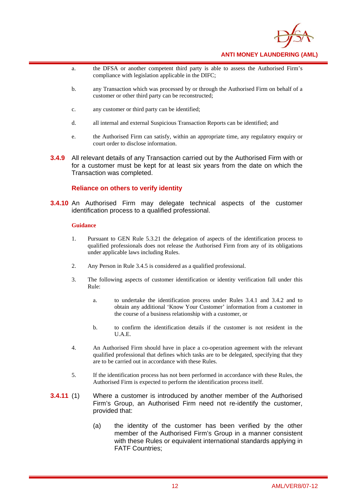

- a. the DFSA or another competent third party is able to assess the Authorised Firm's compliance with legislation applicable in the DIFC;
- b. any Transaction which was processed by or through the Authorised Firm on behalf of a customer or other third party can be reconstructed;
- c. any customer or third party can be identified;
- d. all internal and external Suspicious Transaction Reports can be identified; and
- e. the Authorised Firm can satisfy, within an appropriate time, any regulatory enquiry or court order to disclose information.
- **3.4.9** All relevant details of any Transaction carried out by the Authorised Firm with or for a customer must be kept for at least six years from the date on which the Transaction was completed.

#### **Reliance on others to verify identity**

**3.4.10** An Authorised Firm may delegate technical aspects of the customer identification process to a qualified professional.

- 1. Pursuant to GEN Rule 5.3.21 the delegation of aspects of the identification process to qualified professionals does not release the Authorised Firm from any of its obligations under applicable laws including Rules.
- 2. Any Person in Rule 3.4.5 is considered as a qualified professional.
- 3. The following aspects of customer identification or identity verification fall under this Rule:
	- a. to undertake the identification process under Rules 3.4.1 and 3.4.2 and to obtain any additional 'Know Your Customer' information from a customer in the course of a business relationship with a customer, or
	- b. to confirm the identification details if the customer is not resident in the U.A.E.
- 4. An Authorised Firm should have in place a co-operation agreement with the relevant qualified professional that defines which tasks are to be delegated, specifying that they are to be carried out in accordance with these Rules.
- 5. If the identification process has not been performed in accordance with these Rules, the Authorised Firm is expected to perform the identification process itself.
- **3.4.11** (1) Where a customer is introduced by another member of the Authorised Firm's Group, an Authorised Firm need not re-identify the customer, provided that:
	- (a) the identity of the customer has been verified by the other member of the Authorised Firm's Group in a manner consistent with these Rules or equivalent international standards applying in FATF Countries;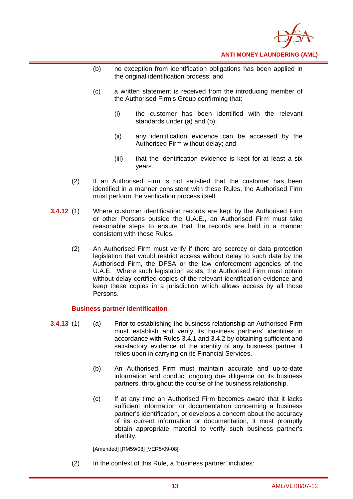

- (b) no exception from identification obligations has been applied in the original identification process; and
- (c) a written statement is received from the introducing member of the Authorised Firm's Group confirming that:
	- (i) the customer has been identified with the relevant standards under (a) and (b);
	- (ii) any identification evidence can be accessed by the Authorised Firm without delay; and
	- (iii) that the identification evidence is kept for at least a six years.
- (2) If an Authorised Firm is not satisfied that the customer has been identified in a manner consistent with these Rules, the Authorised Firm must perform the verification process itself.
- **3.4.12** (1) Where customer identification records are kept by the Authorised Firm or other Persons outside the U.A.E., an Authorised Firm must take reasonable steps to ensure that the records are held in a manner consistent with these Rules.
	- (2) An Authorised Firm must verify if there are secrecy or data protection legislation that would restrict access without delay to such data by the Authorised Firm, the DFSA or the law enforcement agencies of the U.A.E. Where such legislation exists, the Authorised Firm must obtain without delay certified copies of the relevant identification evidence and keep these copies in a jurisdiction which allows access by all those Persons.

#### **Business partner identification**

- **3.4.13** (1) (a) Prior to establishing the business relationship an Authorised Firm must establish and verify its business partners' identities in accordance with Rules 3.4.1 and 3.4.2 by obtaining sufficient and satisfactory evidence of the identity of any business partner it relies upon in carrying on its Financial Services.
	- (b) An Authorised Firm must maintain accurate and up-to-date information and conduct ongoing due diligence on its business partners, throughout the course of the business relationship.
	- (c) If at any time an Authorised Firm becomes aware that it lacks sufficient information or documentation concerning a business partner's identification, or develops a concern about the accuracy of its current information or documentation, it must promptly obtain appropriate material to verify such business partner's identity.

[Amended] [RM59/08] [VER5/09-08]

(2) In the context of this Rule, a 'business partner' includes: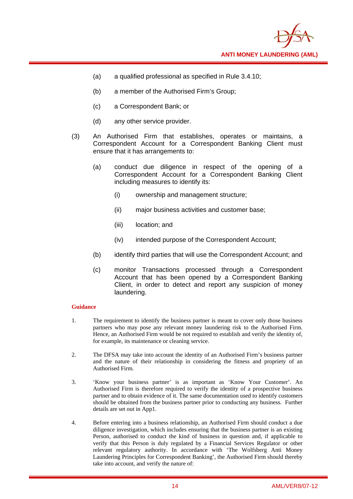

- (a) a qualified professional as specified in Rule 3.4.10;
- (b) a member of the Authorised Firm's Group;
- (c) a Correspondent Bank; or
- (d) any other service provider.
- (3) An Authorised Firm that establishes, operates or maintains, a Correspondent Account for a Correspondent Banking Client must ensure that it has arrangements to:
	- (a) conduct due diligence in respect of the opening of a Correspondent Account for a Correspondent Banking Client including measures to identify its:
		- (i) ownership and management structure;
		- (ii) major business activities and customer base;
		- (iii) location; and
		- (iv) intended purpose of the Correspondent Account;
	- (b) identify third parties that will use the Correspondent Account; and
	- (c) monitor Transactions processed through a Correspondent Account that has been opened by a Correspondent Banking Client, in order to detect and report any suspicion of money laundering.

- 1. The requirement to identify the business partner is meant to cover only those business partners who may pose any relevant money laundering risk to the Authorised Firm. Hence, an Authorised Firm would be not required to establish and verify the identity of, for example, its maintenance or cleaning service.
- 2. The DFSA may take into account the identity of an Authorised Firm's business partner and the nature of their relationship in considering the fitness and propriety of an Authorised Firm.
- 3. 'Know your business partner' is as important as 'Know Your Customer'. An Authorised Firm is therefore required to verify the identity of a prospective business partner and to obtain evidence of it. The same documentation used to identify customers should be obtained from the business partner prior to conducting any business. Further details are set out in App1.
- 4. Before entering into a business relationship, an Authorised Firm should conduct a due diligence investigation, which includes ensuring that the business partner is an existing Person, authorised to conduct the kind of business in question and, if applicable to verify that this Person is duly regulated by a Financial Services Regulator or other relevant regulatory authority. In accordance with 'The Wolfsberg Anti Money Laundering Principles for Correspondent Banking', the Authorised Firm should thereby take into account, and verify the nature of: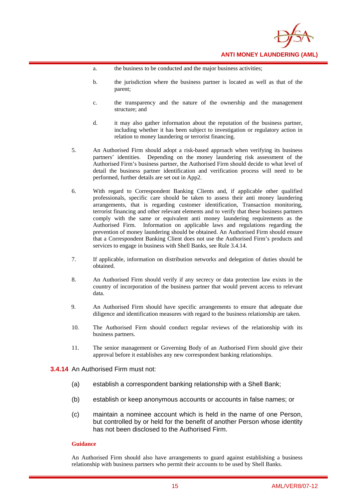

- a. the business to be conducted and the major business activities;
- b. the jurisdiction where the business partner is located as well as that of the parent;
- c. the transparency and the nature of the ownership and the management structure; and
- d. it may also gather information about the reputation of the business partner, including whether it has been subject to investigation or regulatory action in relation to money laundering or terrorist financing.
- 5. An Authorised Firm should adopt a risk-based approach when verifying its business partners' identities. Depending on the money laundering risk assessment of the Authorised Firm's business partner, the Authorised Firm should decide to what level of detail the business partner identification and verification process will need to be performed, further details are set out in App2.
- 6. With regard to Correspondent Banking Clients and, if applicable other qualified professionals, specific care should be taken to assess their anti money laundering arrangements, that is regarding customer identification, Transaction monitoring, terrorist financing and other relevant elements and to verify that these business partners comply with the same or equivalent anti money laundering requirements as the Authorised Firm. Information on applicable laws and regulations regarding the prevention of money laundering should be obtained. An Authorised Firm should ensure that a Correspondent Banking Client does not use the Authorised Firm's products and services to engage in business with Shell Banks, see Rule 3.4.14.
- 7. If applicable, information on distribution networks and delegation of duties should be obtained.
- 8. An Authorised Firm should verify if any secrecy or data protection law exists in the country of incorporation of the business partner that would prevent access to relevant data.
- 9. An Authorised Firm should have specific arrangements to ensure that adequate due diligence and identification measures with regard to the business relationship are taken.
- 10. The Authorised Firm should conduct regular reviews of the relationship with its business partners.
- 11. The senior management or Governing Body of an Authorised Firm should give their approval before it establishes any new correspondent banking relationships.

#### **3.4.14** An Authorised Firm must not:

- (a) establish a correspondent banking relationship with a Shell Bank;
- (b) establish or keep anonymous accounts or accounts in false names; or
- (c) maintain a nominee account which is held in the name of one Person, but controlled by or held for the benefit of another Person whose identity has not been disclosed to the Authorised Firm.

#### **Guidance**

An Authorised Firm should also have arrangements to guard against establishing a business relationship with business partners who permit their accounts to be used by Shell Banks.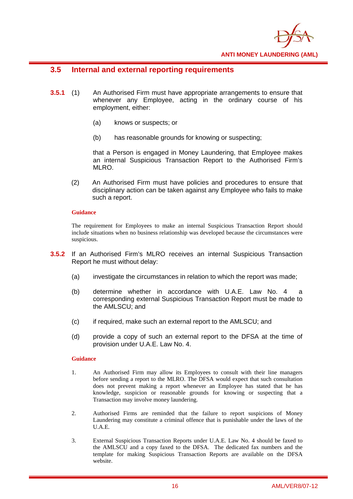

## **3.5 Internal and external reporting requirements**

- **3.5.1** (1) An Authorised Firm must have appropriate arrangements to ensure that whenever any Employee, acting in the ordinary course of his employment, either:
	- (a) knows or suspects; or
	- (b) has reasonable grounds for knowing or suspecting;

 that a Person is engaged in Money Laundering, that Employee makes an internal Suspicious Transaction Report to the Authorised Firm's MLRO.

(2) An Authorised Firm must have policies and procedures to ensure that disciplinary action can be taken against any Employee who fails to make such a report.

#### **Guidance**

The requirement for Employees to make an internal Suspicious Transaction Report should include situations when no business relationship was developed because the circumstances were suspicious.

- **3.5.2** If an Authorised Firm's MLRO receives an internal Suspicious Transaction Report he must without delay:
	- (a) investigate the circumstances in relation to which the report was made;
	- (b) determine whether in accordance with U.A.E. Law No. 4 a corresponding external Suspicious Transaction Report must be made to the AMLSCU; and
	- (c) if required, make such an external report to the AMLSCU; and
	- (d) provide a copy of such an external report to the DFSA at the time of provision under U.A.E. Law No. 4.

- 1. An Authorised Firm may allow its Employees to consult with their line managers before sending a report to the MLRO. The DFSA would expect that such consultation does not prevent making a report whenever an Employee has stated that he has knowledge, suspicion or reasonable grounds for knowing or suspecting that a Transaction may involve money laundering.
- 2. Authorised Firms are reminded that the failure to report suspicions of Money Laundering may constitute a criminal offence that is punishable under the laws of the U.A.E.
- 3. External Suspicious Transaction Reports under U.A.E. Law No. 4 should be faxed to the AMLSCU and a copy faxed to the DFSA. The dedicated fax numbers and the template for making Suspicious Transaction Reports are available on the DFSA website.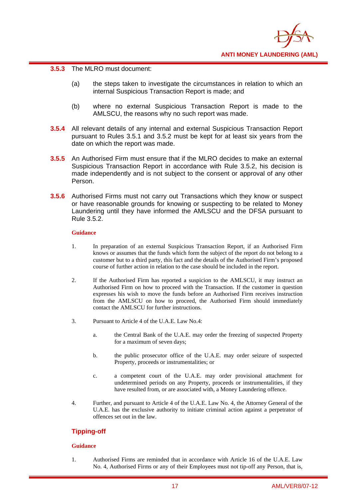

#### **3.5.3** The MLRO must document:

- (a) the steps taken to investigate the circumstances in relation to which an internal Suspicious Transaction Report is made; and
- (b) where no external Suspicious Transaction Report is made to the AMLSCU, the reasons why no such report was made.
- **3.5.4** All relevant details of any internal and external Suspicious Transaction Report pursuant to Rules 3.5.1 and 3.5.2 must be kept for at least six years from the date on which the report was made.
- **3.5.5** An Authorised Firm must ensure that if the MLRO decides to make an external Suspicious Transaction Report in accordance with Rule 3.5.2, his decision is made independently and is not subject to the consent or approval of any other Person.
- **3.5.6** Authorised Firms must not carry out Transactions which they know or suspect or have reasonable grounds for knowing or suspecting to be related to Money Laundering until they have informed the AMLSCU and the DFSA pursuant to Rule 3.5.2.

#### **Guidance**

- 1. In preparation of an external Suspicious Transaction Report, if an Authorised Firm knows or assumes that the funds which form the subject of the report do not belong to a customer but to a third party, this fact and the details of the Authorised Firm's proposed course of further action in relation to the case should be included in the report.
- 2. If the Authorised Firm has reported a suspicion to the AMLSCU, it may instruct an Authorised Firm on how to proceed with the Transaction. If the customer in question expresses his wish to move the funds before an Authorised Firm receives instruction from the AMLSCU on how to proceed, the Authorised Firm should immediately contact the AMLSCU for further instructions.
- 3. Pursuant to Article 4 of the U.A.E. Law No.4:
	- a. the Central Bank of the U.A.E. may order the freezing of suspected Property for a maximum of seven days;
	- b. the public prosecutor office of the U.A.E. may order seizure of suspected Property, proceeds or instrumentalities; or
	- c. a competent court of the U.A.E. may order provisional attachment for undetermined periods on any Property, proceeds or instrumentalities, if they have resulted from, or are associated with, a Money Laundering offence.
- 4. Further, and pursuant to Article 4 of the U.A.E. Law No. 4, the Attorney General of the U.A.E. has the exclusive authority to initiate criminal action against a perpetrator of offences set out in the law.

#### **Tipping-off**

#### **Guidance**

1. Authorised Firms are reminded that in accordance with Article 16 of the U.A.E. Law No. 4, Authorised Firms or any of their Employees must not tip-off any Person, that is,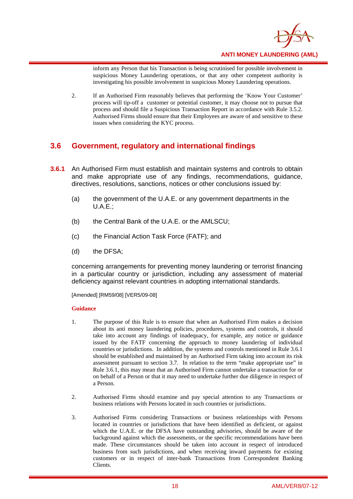

inform any Person that his Transaction is being scrutinised for possible involvement in suspicious Money Laundering operations, or that any other competent authority is investigating his possible involvement in suspicious Money Laundering operations.

2. If an Authorised Firm reasonably believes that performing the 'Know Your Customer' process will tip-off a customer or potential customer, it may choose not to pursue that process and should file a Suspicious Transaction Report in accordance with Rule 3.5.2. Authorised Firms should ensure that their Employees are aware of and sensitive to these issues when considering the KYC process.

## **3.6 Government, regulatory and international findings**

- **3.6.1** An Authorised Firm must establish and maintain systems and controls to obtain and make appropriate use of any findings, recommendations, guidance, directives, resolutions, sanctions, notices or other conclusions issued by:
	- (a) the government of the U.A.E. or any government departments in the  $U.A.E.:$
	- (b) the Central Bank of the U.A.E. or the AMLSCU;
	- (c) the Financial Action Task Force (FATF); and
	- (d) the DFSA;

concerning arrangements for preventing money laundering or terrorist financing in a particular country or jurisdiction, including any assessment of material deficiency against relevant countries in adopting international standards.

[Amended] [RM59/08] [VER5/09-08]

- 1. The purpose of this Rule is to ensure that when an Authorised Firm makes a decision about its anti money laundering policies, procedures, systems and controls, it should take into account any findings of inadequacy, for example, any notice or guidance issued by the FATF concerning the approach to money laundering of individual countries or jurisdictions. In addition, the systems and controls mentioned in Rule 3.6.1 should be established and maintained by an Authorised Firm taking into account its risk assessment pursuant to section 3.7. In relation to the term "make appropriate use" in Rule 3.6.1, this may mean that an Authorised Firm cannot undertake a transaction for or on behalf of a Person or that it may need to undertake further due diligence in respect of a Person.
- 2. Authorised Firms should examine and pay special attention to any Transactions or business relations with Persons located in such countries or jurisdictions.
- 3. Authorised Firms considering Transactions or business relationships with Persons located in countries or jurisdictions that have been identified as deficient, or against which the U.A.E. or the DFSA have outstanding advisories, should be aware of the background against which the assessments, or the specific recommendations have been made. These circumstances should be taken into account in respect of introduced business from such jurisdictions, and when receiving inward payments for existing customers or in respect of inter-bank Transactions from Correspondent Banking Clients.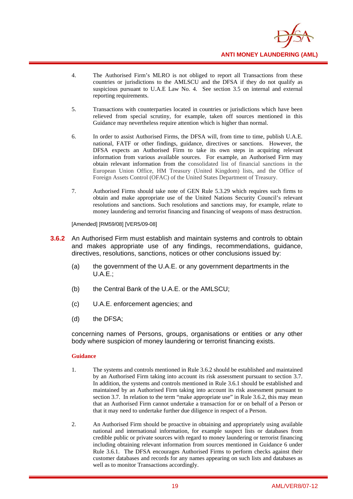

- 4. The Authorised Firm's MLRO is not obliged to report all Transactions from these countries or jurisdictions to the AMLSCU and the DFSA if they do not qualify as suspicious pursuant to U.A.E Law No. 4. See section 3.5 on internal and external reporting requirements.
- 5. Transactions with counterparties located in countries or jurisdictions which have been relieved from special scrutiny, for example, taken off sources mentioned in this Guidance may nevertheless require attention which is higher than normal.
- 6. In order to assist Authorised Firms, the DFSA will, from time to time, publish U.A.E. national, FATF or other findings, guidance, directives or sanctions. However, the DFSA expects an Authorised Firm to take its own steps in acquiring relevant information from various available sources. For example, an Authorised Firm may obtain relevant information from the consolidated list of financial sanctions in the European Union Office, HM Treasury (United Kingdom) lists, and the Office of Foreign Assets Control (OFAC) of the United States Department of Treasury.
- 7. Authorised Firms should take note of GEN Rule 5.3.29 which requires such firms to obtain and make appropriate use of the United Nations Security Council's relevant resolutions and sanctions. Such resolutions and sanctions may, for example, relate to money laundering and terrorist financing and financing of weapons of mass destruction.

[Amended] [RM59/08] [VER5/09-08]

- **3.6.2** An Authorised Firm must establish and maintain systems and controls to obtain and makes appropriate use of any findings, recommendations, guidance, directives, resolutions, sanctions, notices or other conclusions issued by:
	- (a) the government of the U.A.E. or any government departments in the  $U.A.E.:$
	- (b) the Central Bank of the U.A.E. or the AMLSCU;
	- (c) U.A.E. enforcement agencies; and
	- (d) the DFSA;

concerning names of Persons, groups, organisations or entities or any other body where suspicion of money laundering or terrorist financing exists.

- 1. The systems and controls mentioned in Rule 3.6.2 should be established and maintained by an Authorised Firm taking into account its risk assessment pursuant to section 3.7. In addition, the systems and controls mentioned in Rule 3.6.1 should be established and maintained by an Authorised Firm taking into account its risk assessment pursuant to section 3.7. In relation to the term "make appropriate use" in Rule 3.6.2, this may mean that an Authorised Firm cannot undertake a transaction for or on behalf of a Person or that it may need to undertake further due diligence in respect of a Person.
- 2. An Authorised Firm should be proactive in obtaining and appropriately using available national and international information, for example suspect lists or databases from credible public or private sources with regard to money laundering or terrorist financing including obtaining relevant information from sources mentioned in Guidance 6 under Rule 3.6.1. The DFSA encourages Authorised Firms to perform checks against their customer databases and records for any names appearing on such lists and databases as well as to monitor Transactions accordingly.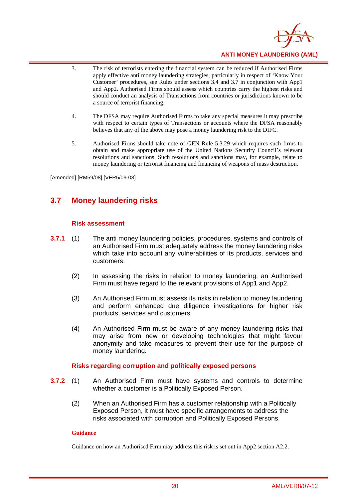

- 3. The risk of terrorists entering the financial system can be reduced if Authorised Firms apply effective anti money laundering strategies, particularly in respect of 'Know Your Customer' procedures, see Rules under sections 3.4 and 3.7 in conjunction with App1 and App2. Authorised Firms should assess which countries carry the highest risks and should conduct an analysis of Transactions from countries or jurisdictions known to be a source of terrorist financing.
- 4. The DFSA may require Authorised Firms to take any special measures it may prescribe with respect to certain types of Transactions or accounts where the DFSA reasonably believes that any of the above may pose a money laundering risk to the DIFC.
- 5. Authorised Firms should take note of GEN Rule 5.3.29 which requires such firms to obtain and make appropriate use of the United Nations Security Council's relevant resolutions and sanctions. Such resolutions and sanctions may, for example, relate to money laundering or terrorist financing and financing of weapons of mass destruction.

[Amended] [RM59/08] [VER5/09-08]

## **3.7 Money laundering risks**

#### **Risk assessment**

- **3.7.1** (1) The anti money laundering policies, procedures, systems and controls of an Authorised Firm must adequately address the money laundering risks which take into account any vulnerabilities of its products, services and customers.
	- (2) In assessing the risks in relation to money laundering, an Authorised Firm must have regard to the relevant provisions of App1 and App2.
	- (3) An Authorised Firm must assess its risks in relation to money laundering and perform enhanced due diligence investigations for higher risk products, services and customers.
	- (4) An Authorised Firm must be aware of any money laundering risks that may arise from new or developing technologies that might favour anonymity and take measures to prevent their use for the purpose of money laundering.

#### **Risks regarding corruption and politically exposed persons**

- **3.7.2** (1) An Authorised Firm must have systems and controls to determine whether a customer is a Politically Exposed Person.
	- (2) When an Authorised Firm has a customer relationship with a Politically Exposed Person, it must have specific arrangements to address the risks associated with corruption and Politically Exposed Persons.

#### **Guidance**

Guidance on how an Authorised Firm may address this risk is set out in App2 section A2.2.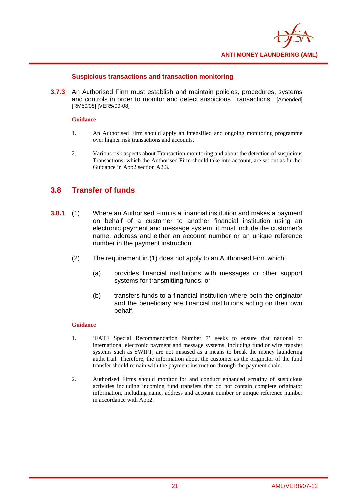

#### **Suspicious transactions and transaction monitoring**

**3.7.3** An Authorised Firm must establish and maintain policies, procedures, systems and controls in order to monitor and detect suspicious Transactions. [Amended] [RM59/08] [VER5/09-08]

#### **Guidance**

- 1. An Authorised Firm should apply an intensified and ongoing monitoring programme over higher risk transactions and accounts.
- 2. Various risk aspects about Transaction monitoring and about the detection of suspicious Transactions, which the Authorised Firm should take into account, are set out as further Guidance in App2 section A2.3.

## **3.8 Transfer of funds**

- **3.8.1** (1) Where an Authorised Firm is a financial institution and makes a payment on behalf of a customer to another financial institution using an electronic payment and message system, it must include the customer's name, address and either an account number or an unique reference number in the payment instruction.
	- (2) The requirement in (1) does not apply to an Authorised Firm which:
		- (a) provides financial institutions with messages or other support systems for transmitting funds; or
		- (b) transfers funds to a financial institution where both the originator and the beneficiary are financial institutions acting on their own behalf.

- 1. 'FATF Special Recommendation Number 7' seeks to ensure that national or international electronic payment and message systems, including fund or wire transfer systems such as SWIFT, are not misused as a means to break the money laundering audit trail. Therefore, the information about the customer as the originator of the fund transfer should remain with the payment instruction through the payment chain.
- 2. Authorised Firms should monitor for and conduct enhanced scrutiny of suspicious activities including incoming fund transfers that do not contain complete originator information, including name, address and account number or unique reference number in accordance with App2.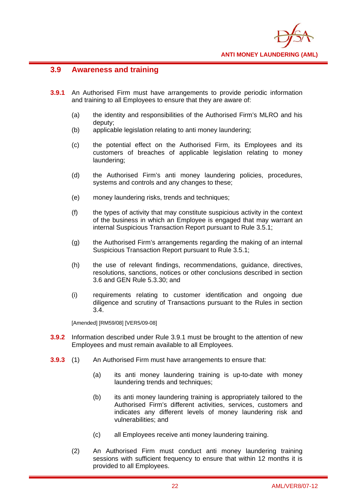

## **3.9 Awareness and training**

- **3.9.1** An Authorised Firm must have arrangements to provide periodic information and training to all Employees to ensure that they are aware of:
	- (a) the identity and responsibilities of the Authorised Firm's MLRO and his deputy;
	- (b) applicable legislation relating to anti money laundering;
	- (c) the potential effect on the Authorised Firm, its Employees and its customers of breaches of applicable legislation relating to money laundering;
	- (d) the Authorised Firm's anti money laundering policies, procedures, systems and controls and any changes to these;
	- (e) money laundering risks, trends and techniques;
	- (f) the types of activity that may constitute suspicious activity in the context of the business in which an Employee is engaged that may warrant an internal Suspicious Transaction Report pursuant to Rule 3.5.1;
	- (g) the Authorised Firm's arrangements regarding the making of an internal Suspicious Transaction Report pursuant to Rule 3.5.1;
	- (h) the use of relevant findings, recommendations, guidance, directives, resolutions, sanctions, notices or other conclusions described in section 3.6 and GEN Rule 5.3.30; and
	- (i) requirements relating to customer identification and ongoing due diligence and scrutiny of Transactions pursuant to the Rules in section 3.4.

[Amended] [RM59/08] [VER5/09-08]

- **3.9.2** Information described under Rule 3.9.1 must be brought to the attention of new Employees and must remain available to all Employees.
- **3.9.3** (1) An Authorised Firm must have arrangements to ensure that:
	- (a) its anti money laundering training is up-to-date with money laundering trends and techniques;
	- (b) its anti money laundering training is appropriately tailored to the Authorised Firm's different activities, services, customers and indicates any different levels of money laundering risk and vulnerabilities; and
	- (c) all Employees receive anti money laundering training.
	- (2) An Authorised Firm must conduct anti money laundering training sessions with sufficient frequency to ensure that within 12 months it is provided to all Employees.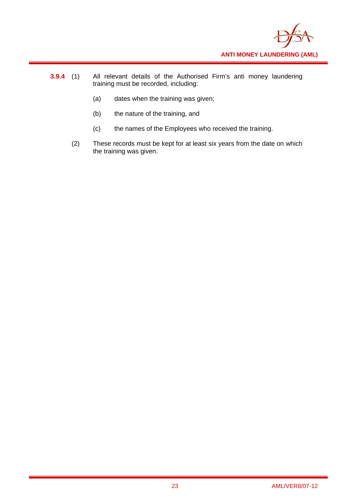

- **3.9.4** (1) All relevant details of the Authorised Firm's anti money laundering training must be recorded, including:
	- (a) dates when the training was given;
	- (b) the nature of the training, and
	- (c) the names of the Employees who received the training.
	- (2) These records must be kept for at least six years from the date on which the training was given.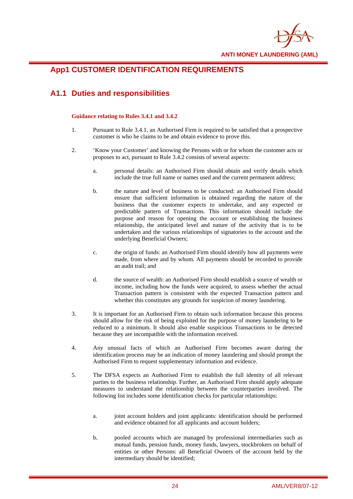

## **App1 CUSTOMER IDENTIFICATION REQUIREMENTS**

## **A1.1 Duties and responsibilities**

#### **Guidance relating to Rules 3.4.1 and 3.4.2**

- 1. Pursuant to Rule 3.4.1, an Authorised Firm is required to be satisfied that a prospective customer is who he claims to be and obtain evidence to prove this.
- 2. 'Know your Customer' and knowing the Persons with or for whom the customer acts or proposes to act, pursuant to Rule 3.4.2 consists of several aspects:
	- a. personal details: an Authorised Firm should obtain and verify details which include the true full name or names used and the current permanent address;
	- b. the nature and level of business to be conducted: an Authorised Firm should ensure that sufficient information is obtained regarding the nature of the business that the customer expects to undertake, and any expected or predictable pattern of Transactions. This information should include the purpose and reason for opening the account or establishing the business relationship, the anticipated level and nature of the activity that is to be undertaken and the various relationships of signatories to the account and the underlying Beneficial Owners;
	- c. the origin of funds: an Authorised Firm should identify how all payments were made, from where and by whom. All payments should be recorded to provide an audit trail; and
	- d. the source of wealth: an Authorised Firm should establish a source of wealth or income, including how the funds were acquired, to assess whether the actual Transaction pattern is consistent with the expected Transaction pattern and whether this constitutes any grounds for suspicion of money laundering.
- 3. It is important for an Authorised Firm to obtain such information because this process should allow for the risk of being exploited for the purpose of money laundering to be reduced to a minimum. It should also enable suspicious Transactions to be detected because they are incompatible with the information received.
- 4. Any unusual facts of which an Authorised Firm becomes aware during the identification process may be an indication of money laundering and should prompt the Authorised Firm to request supplementary information and evidence.
- 5. The DFSA expects an Authorised Firm to establish the full identity of all relevant parties to the business relationship. Further, an Authorised Firm should apply adequate measures to understand the relationship between the counterparties involved. The following list includes some identification checks for particular relationships:
	- a. joint account holders and joint applicants: identification should be performed and evidence obtained for all applicants and account holders;
	- b. pooled accounts which are managed by professional intermediaries such as mutual funds, pension funds, money funds, lawyers, stockbrokers on behalf of entities or other Persons: all Beneficial Owners of the account held by the intermediary should be identified;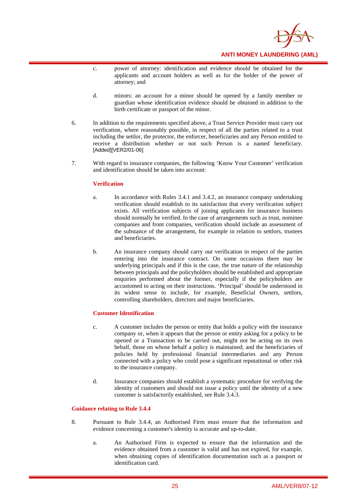

- c. power of attorney: identification and evidence should be obtained for the applicants and account holders as well as for the holder of the power of attorney; and
- d. minors: an account for a minor should be opened by a family member or guardian whose identification evidence should be obtained in addition to the birth certificate or passport of the minor.
- 6. In addition to the requirements specified above, a Trust Service Provider must carry out verification, where reasonably possible, in respect of all the parties related to a trust including the settlor, the protector, the enforcer, beneficiaries and any Person entitled to receive a distribution whether or not such Person is a named beneficiary. [Added][VER2/01-06]
- 7. With regard to insurance companies, the following 'Know Your Customer' verification and identification should be taken into account:

#### **Verification**

- a. In accordance with Rules 3.4.1 and 3.4.2, an insurance company undertaking verification should establish to its satisfaction that every verification subject exists. All verification subjects of joining applicants for insurance business should normally be verified. In the case of arrangements such as trust, nominee companies and front companies, verification should include an assessment of the substance of the arrangement, for example in relation to settlors, trustees and beneficiaries.
- b. An insurance company should carry out verification in respect of the parties entering into the insurance contract. On some occasions there may be underlying principals and if this is the case, the true nature of the relationship between principals and the policyholders should be established and appropriate enquiries performed about the former, especially if the policyholders are accustomed to acting on their instructions. 'Principal' should be understood in its widest sense to include, for example, Beneficial Owners, settlors, controlling shareholders, directors and major beneficiaries.

#### **Customer Identification**

- c. A customer includes the person or entity that holds a policy with the insurance company or, when it appears that the person or entity asking for a policy to be opened or a Transaction to be carried out, might not be acting on its own behalf, those on whose behalf a policy is maintained; and the beneficiaries of policies held by professional financial intermediaries and any Person connected with a policy who could pose a significant reputational or other risk to the insurance company.
- d. Insurance companies should establish a systematic procedure for verifying the identity of customers and should not issue a policy until the identity of a new customer is satisfactorily established, see Rule 3.4.3.

#### **Guidance relating to Rule 3.4.4**

- 8. Pursuant to Rule 3.4.4, an Authorised Firm must ensure that the information and evidence concerning a customer's identity is accurate and up-to-date.
	- a. An Authorised Firm is expected to ensure that the information and the evidence obtained from a customer is valid and has not expired, for example, when obtaining copies of identification documentation such as a passport or identification card.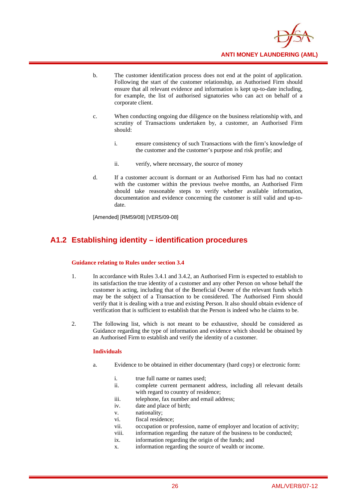

- b. The customer identification process does not end at the point of application. Following the start of the customer relationship, an Authorised Firm should ensure that all relevant evidence and information is kept up-to-date including, for example, the list of authorised signatories who can act on behalf of a corporate client.
- c. When conducting ongoing due diligence on the business relationship with, and scrutiny of Transactions undertaken by, a customer, an Authorised Firm should:
	- i. ensure consistency of such Transactions with the firm's knowledge of the customer and the customer's purpose and risk profile; and
	- ii. verify, where necessary, the source of money
- d. If a customer account is dormant or an Authorised Firm has had no contact with the customer within the previous twelve months, an Authorised Firm should take reasonable steps to verify whether available information, documentation and evidence concerning the customer is still valid and up-todate.

[Amended] [RM59/08] [VER5/09-08]

## **A1.2 Establishing identity – identification procedures**

#### **Guidance relating to Rules under section 3.4**

- 1. In accordance with Rules 3.4.1 and 3.4.2, an Authorised Firm is expected to establish to its satisfaction the true identity of a customer and any other Person on whose behalf the customer is acting, including that of the Beneficial Owner of the relevant funds which may be the subject of a Transaction to be considered. The Authorised Firm should verify that it is dealing with a true and existing Person. It also should obtain evidence of verification that is sufficient to establish that the Person is indeed who he claims to be.
- 2. The following list, which is not meant to be exhaustive, should be considered as Guidance regarding the type of information and evidence which should be obtained by an Authorised Firm to establish and verify the identity of a customer.

#### **Individuals**

- a. Evidence to be obtained in either documentary (hard copy) or electronic form:
	- i. true full name or names used:
	- ii. complete current permanent address, including all relevant details with regard to country of residence;
	- iii. telephone, fax number and email address;
	- iv. date and place of birth;
	- v. nationality;
	- vi. fiscal residence;
	- vii. occupation or profession, name of employer and location of activity;
	- viii. information regarding the nature of the business to be conducted;
	- ix. information regarding the origin of the funds; and
	- x. information regarding the source of wealth or income.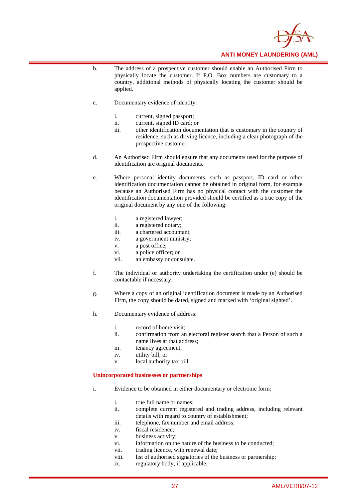

- b. The address of a prospective customer should enable an Authorised Firm to physically locate the customer. If P.O. Box numbers are customary to a country, additional methods of physically locating the customer should be applied.
- c. Documentary evidence of identity:
	- i. current, signed passport;
	- ii. current, signed ID card; or
	- iii. other identification documentation that is customary in the country of residence, such as driving licence, including a clear photograph of the prospective customer.
- d. An Authorised Firm should ensure that any documents used for the purpose of identification are original documents.
- e. Where personal identity documents, such as passport, ID card or other identification documentation cannot be obtained in original form, for example because an Authorised Firm has no physical contact with the customer the identification documentation provided should be certified as a true copy of the original document by any one of the following:
	- i. a registered lawyer;
	- ii. a registered notary;
	- iii. a chartered accountant;
	- iv. a government ministry;
	- v. a post office;
	- vi. a police officer; or
	- vii. an embassy or consulate.
- f. The individual or authority undertaking the certification under (e) should be contactable if necessary.
- g. Where a copy of an original identification document is made by an Authorised Firm, the copy should be dated, signed and marked with 'original sighted'.
- h. Documentary evidence of address:
	- i. record of home visit;
	- ii. confirmation from an electoral register search that a Person of such a name lives at that address;
	- iii. tenancy agreement;
	- iv. utility bill; or
	- v. local authority tax bill.

#### **Unincorporated businesses or partnerships**

- i. Evidence to be obtained in either documentary or electronic form:
	- i. true full name or names;
	- ii. complete current registered and trading address, including relevant details with regard to country of establishment;
	- iii. telephone, fax number and email address;
	- iv. fiscal residence;
	- v. business activity;
	- vi. information on the nature of the business to be conducted;
	- vii. trading licence, with renewal date;
	- viii. list of authorised signatories of the business or partnership;
	- ix. regulatory body, if applicable;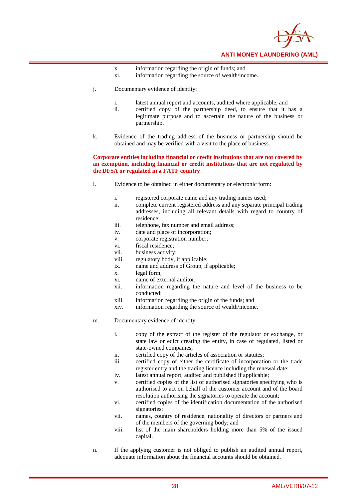

- x. information regarding the origin of funds; and
- xi. information regarding the source of wealth/income.
- j. Documentary evidence of identity:
	- i. latest annual report and accounts, audited where applicable, and
	- ii. certified copy of the partnership deed, to ensure that it has a legitimate purpose and to ascertain the nature of the business or partnership.
- k. Evidence of the trading address of the business or partnership should be obtained and may be verified with a visit to the place of business.

#### **Corporate entities including financial or credit institutions that are not covered by an exemption, including financial or credit institutions that are not regulated by the DFSA or regulated in a FATF country**

- l. Evidence to be obtained in either documentary or electronic form:
	- i. registered corporate name and any trading names used;
	- ii. complete current registered address and any separate principal trading addresses, including all relevant details with regard to country of residence;
	- iii. telephone, fax number and email address;
	- iv. date and place of incorporation;
	- v. corporate registration number;
	- vi. fiscal residence;
	- vii. business activity;
	- viii. regulatory body, if applicable;
	- ix. name and address of Group, if applicable;
	- x. legal form;
	- xi. name of external auditor;
	- xii. information regarding the nature and level of the business to be conducted;
	- xiii. information regarding the origin of the funds; and
	- xiv. information regarding the source of wealth/income.
- m. Documentary evidence of identity:
	- i. copy of the extract of the register of the regulator or exchange, or state law or edict creating the entity, in case of regulated, listed or state-owned companies;
	- ii. certified copy of the articles of association or statutes;
	- iii. certified copy of either the certificate of incorporation or the trade register entry and the trading licence including the renewal date;
	- iv. latest annual report, audited and published if applicable;
	- v. certified copies of the list of authorised signatories specifying who is authorised to act on behalf of the customer account and of the board resolution authorising the signatories to operate the account;
	- vi. certified copies of the identification documentation of the authorised signatories;
	- vii. names, country of residence, nationality of directors or partners and of the members of the governing body; and
	- viii. list of the main shareholders holding more than 5% of the issued capital.
- n. If the applying customer is not obliged to publish an audited annual report, adequate information about the financial accounts should be obtained.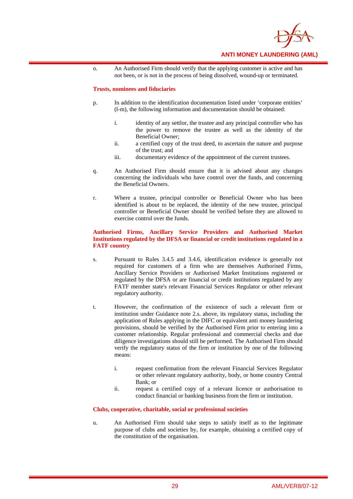

o. An Authorised Firm should verify that the applying customer is active and has not been, or is not in the process of being dissolved, wound-up or terminated.

#### **Trusts, nominees and fiduciaries**

- p. In addition to the identification documentation listed under 'corporate entities' (l-m), the following information and documentation should be obtained:
	- i. identity of any settlor, the trustee and any principal controller who has the power to remove the trustee as well as the identity of the Beneficial Owner;
	- ii. a certified copy of the trust deed, to ascertain the nature and purpose of the trust; and
	- iii. documentary evidence of the appointment of the current trustees.
- q. An Authorised Firm should ensure that it is advised about any changes concerning the individuals who have control over the funds, and concerning the Beneficial Owners.
- r. Where a trustee, principal controller or Beneficial Owner who has been identified is about to be replaced, the identity of the new trustee, principal controller or Beneficial Owner should be verified before they are allowed to exercise control over the funds.

#### **Authorised Firms, Ancillary Service Providers and Authorised Market Institutions regulated by the DFSA or financial or credit institutions regulated in a FATF country**

- s. Pursuant to Rules 3.4.5 and 3.4.6, identification evidence is generally not required for customers of a firm who are themselves Authorised Firms, Ancillary Service Providers or Authorised Market Institutions registered or regulated by the DFSA or are financial or credit institutions regulated by any FATF member state's relevant Financial Services Regulator or other relevant regulatory authority.
- t. However, the confirmation of the existence of such a relevant firm or institution under Guidance note 2.s. above, its regulatory status, including the application of Rules applying in the DIFC or equivalent anti money laundering provisions, should be verified by the Authorised Firm prior to entering into a customer relationship. Regular professional and commercial checks and due diligence investigations should still be performed. The Authorised Firm should verify the regulatory status of the firm or institution by one of the following means:
	- i. request confirmation from the relevant Financial Services Regulator or other relevant regulatory authority, body, or home country Central Bank; or
	- ii. request a certified copy of a relevant licence or authorisation to conduct financial or banking business from the firm or institution.

#### **Clubs, cooperative, charitable, social or professional societies**

u. An Authorised Firm should take steps to satisfy itself as to the legitimate purpose of clubs and societies by, for example, obtaining a certified copy of the constitution of the organisation.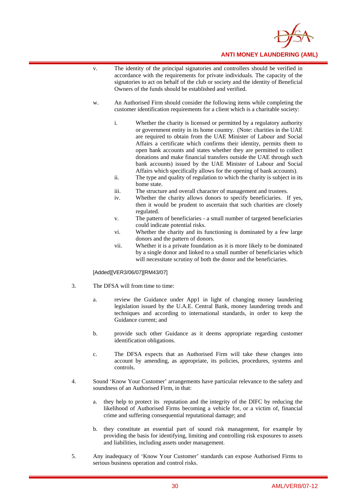

- v. The identity of the principal signatories and controllers should be verified in accordance with the requirements for private individuals. The capacity of the signatories to act on behalf of the club or society and the identity of Beneficial Owners of the funds should be established and verified.
- w. An Authorised Firm should consider the following items while completing the customer identification requirements for a client which is a charitable society:
	- i. Whether the charity is licensed or permitted by a regulatory authority or government entity in its home country. (Note: charities in the UAE are required to obtain from the UAE Minister of Labour and Social Affairs a certificate which confirms their identity, permits them to open bank accounts and states whether they are permitted to collect donations and make financial transfers outside the UAE through such bank accounts) issued by the UAE Minister of Labour and Social Affairs which specifically allows for the opening of bank accounts).
	- ii. The type and quality of regulation to which the charity is subject in its home state.
	- iii. The structure and overall character of management and trustees.
	- iv. Whether the charity allows donors to specify beneficiaries. If yes, then it would be prudent to ascertain that such charities are closely regulated.
	- v. The pattern of beneficiaries a small number of targeted beneficiaries could indicate potential risks.
	- vi. Whether the charity and its functioning is dominated by a few large donors and the pattern of donors.
	- vii. Whether it is a private foundation as it is more likely to be dominated by a single donor and linked to a small number of beneficiaries which will necessitate scrutiny of both the donor and the beneficiaries.

[Added][VER3/06/07][RM43/07]

- 3. The DFSA will from time to time:
	- a. review the Guidance under App1 in light of changing money laundering legislation issued by the U.A.E. Central Bank, money laundering trends and techniques and according to international standards, in order to keep the Guidance current; and
	- b. provide such other Guidance as it deems appropriate regarding customer identification obligations.
	- c. The DFSA expects that an Authorised Firm will take these changes into account by amending, as appropriate, its policies, procedures, systems and controls.
- 4. Sound 'Know Your Customer' arrangements have particular relevance to the safety and soundness of an Authorised Firm, in that:
	- a. they help to protect its reputation and the integrity of the DIFC by reducing the likelihood of Authorised Firms becoming a vehicle for, or a victim of, financial crime and suffering consequential reputational damage; and
	- b. they constitute an essential part of sound risk management, for example by providing the basis for identifying, limiting and controlling risk exposures to assets and liabilities, including assets under management.
- 5. Any inadequacy of 'Know Your Customer' standards can expose Authorised Firms to serious business operation and control risks.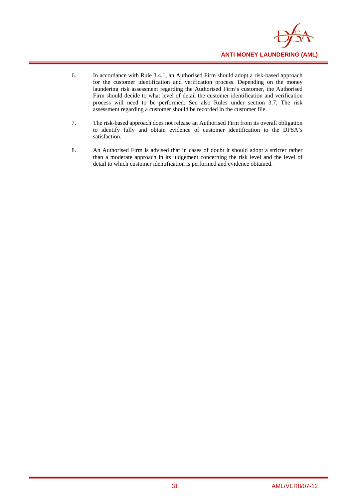

- 6. In accordance with Rule 3.4.1, an Authorised Firm should adopt a risk-based approach for the customer identification and verification process. Depending on the money laundering risk assessment regarding the Authorised Firm's customer, the Authorised Firm should decide to what level of detail the customer identification and verification process will need to be performed. See also Rules under section 3.7. The risk assessment regarding a customer should be recorded in the customer file.
- 7. The risk-based approach does not release an Authorised Firm from its overall obligation to identify fully and obtain evidence of customer identification to the DFSA's satisfaction.
- 8. An Authorised Firm is advised that in cases of doubt it should adopt a stricter rather than a moderate approach in its judgement concerning the risk level and the level of detail to which customer identification is performed and evidence obtained.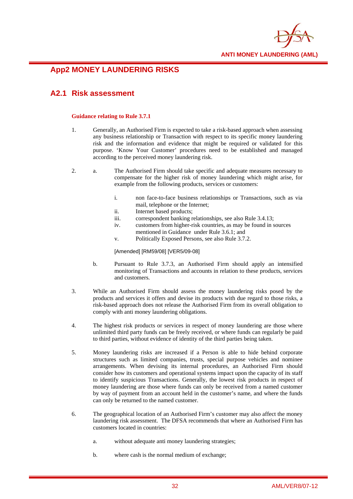

## **App2 MONEY LAUNDERING RISKS**

## **A2.1 Risk assessment**

#### **Guidance relating to Rule 3.7.1**

- 1. Generally, an Authorised Firm is expected to take a risk-based approach when assessing any business relationship or Transaction with respect to its specific money laundering risk and the information and evidence that might be required or validated for this purpose. 'Know Your Customer' procedures need to be established and managed according to the perceived money laundering risk.
- 2. a. The Authorised Firm should take specific and adequate measures necessary to compensate for the higher risk of money laundering which might arise, for example from the following products, services or customers:
	- i. non face-to-face business relationships or Transactions, such as via mail, telephone or the Internet;
	- ii. Internet based products;
	- iii. correspondent banking relationships, see also Rule 3.4.13;
	- iv. customers from higher-risk countries, as may be found in sources mentioned in Guidance under Rule 3.6.1; and
	- v. Politically Exposed Persons, see also Rule 3.7.2.

[Amended] [RM59/08] [VER5/09-08]

- b. Pursuant to Rule 3.7.3, an Authorised Firm should apply an intensified monitoring of Transactions and accounts in relation to these products, services and customers.
- 3. While an Authorised Firm should assess the money laundering risks posed by the products and services it offers and devise its products with due regard to those risks, a risk-based approach does not release the Authorised Firm from its overall obligation to comply with anti money laundering obligations.
- 4. The highest risk products or services in respect of money laundering are those where unlimited third party funds can be freely received, or where funds can regularly be paid to third parties, without evidence of identity of the third parties being taken.
- 5. Money laundering risks are increased if a Person is able to hide behind corporate structures such as limited companies, trusts, special purpose vehicles and nominee arrangements. When devising its internal procedures, an Authorised Firm should consider how its customers and operational systems impact upon the capacity of its staff to identify suspicious Transactions. Generally, the lowest risk products in respect of money laundering are those where funds can only be received from a named customer by way of payment from an account held in the customer's name, and where the funds can only be returned to the named customer.
- 6. The geographical location of an Authorised Firm's customer may also affect the money laundering risk assessment. The DFSA recommends that where an Authorised Firm has customers located in countries:
	- a. without adequate anti money laundering strategies;
	- b. where cash is the normal medium of exchange;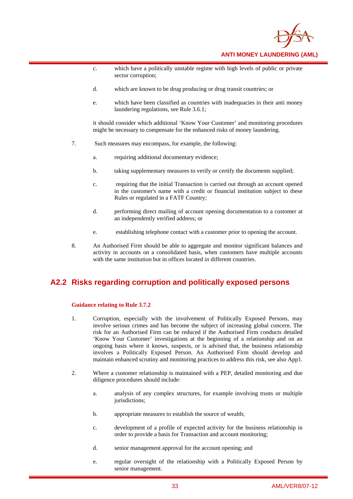

- c. which have a politically unstable regime with high levels of public or private sector corruption;
- d. which are known to be drug producing or drug transit countries; or
- e. which have been classified as countries with inadequacies in their anti money laundering regulations, see Rule 3.6.1;

it should consider which additional 'Know Your Customer' and monitoring procedures might be necessary to compensate for the enhanced risks of money laundering.

- 7. Such measures may encompass, for example, the following:
	- a. requiring additional documentary evidence;
	- b. taking supplementary measures to verify or certify the documents supplied;
	- c. requiring that the initial Transaction is carried out through an account opened in the customer's name with a credit or financial institution subject to these Rules or regulated in a FATF Country;
	- d. performing direct mailing of account opening documentation to a customer at an independently verified address; or
	- e. establishing telephone contact with a customer prior to opening the account.
- 8. An Authorised Firm should be able to aggregate and monitor significant balances and activity in accounts on a consolidated basis, when customers have multiple accounts with the same institution but in offices located in different countries.

## **A2.2 Risks regarding corruption and politically exposed persons**

#### **Guidance relating to Rule 3.7.2**

- 1. Corruption, especially with the involvement of Politically Exposed Persons, may involve serious crimes and has become the subject of increasing global concern. The risk for an Authorised Firm can be reduced if the Authorised Firm conducts detailed 'Know Your Customer' investigations at the beginning of a relationship and on an ongoing basis where it knows, suspects, or is advised that, the business relationship involves a Politically Exposed Person. An Authorised Firm should develop and maintain enhanced scrutiny and monitoring practices to address this risk, see also App1.
- 2. Where a customer relationship is maintained with a PEP, detailed monitoring and due diligence procedures should include:
	- a. analysis of any complex structures, for example involving trusts or multiple jurisdictions:
	- b. appropriate measures to establish the source of wealth;
	- c. development of a profile of expected activity for the business relationship in order to provide a basis for Transaction and account monitoring;
	- d. senior management approval for the account opening; and
	- e. regular oversight of the relationship with a Politically Exposed Person by senior management.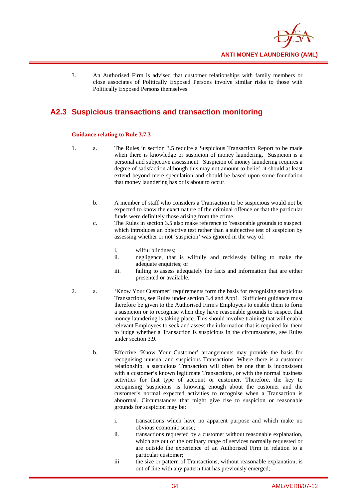

3. An Authorised Firm is advised that customer relationships with family members or close associates of Politically Exposed Persons involve similar risks to those with Politically Exposed Persons themselves.

## **A2.3 Suspicious transactions and transaction monitoring**

#### **Guidance relating to Rule 3.7.3**

- 1. a. The Rules in section 3.5 require a Suspicious Transaction Report to be made when there is knowledge or suspicion of money laundering. Suspicion is a personal and subjective assessment. Suspicion of money laundering requires a degree of satisfaction although this may not amount to belief, it should at least extend beyond mere speculation and should be based upon some foundation that money laundering has or is about to occur.
	- b. A member of staff who considers a Transaction to be suspicious would not be expected to know the exact nature of the criminal offence or that the particular funds were definitely those arising from the crime.
	- c. The Rules in section 3.5 also make reference to 'reasonable grounds to suspect' which introduces an objective test rather than a subjective test of suspicion by assessing whether or not 'suspicion' was ignored in the way of:
		- i. wilful blindness;
		- ii. negligence, that is wilfully and recklessly failing to make the adequate enquiries; or
		- iii. failing to assess adequately the facts and information that are either presented or available.
- 2. a. 'Know Your Customer' requirements form the basis for recognising suspicious Transactions, see Rules under section 3.4 and App1. Sufficient guidance must therefore be given to the Authorised Firm's Employees to enable them to form a suspicion or to recognise when they have reasonable grounds to suspect that money laundering is taking place. This should involve training that will enable relevant Employees to seek and assess the information that is required for them to judge whether a Transaction is suspicious in the circumstances, see Rules under section 3.9.
	- b. Effective 'Know Your Customer' arrangements may provide the basis for recognising unusual and suspicious Transactions. Where there is a customer relationship, a suspicious Transaction will often be one that is inconsistent with a customer's known legitimate Transactions, or with the normal business activities for that type of account or customer. Therefore, the key to recognising 'suspicions' is knowing enough about the customer and the customer's normal expected activities to recognise when a Transaction is abnormal. Circumstances that might give rise to suspicion or reasonable grounds for suspicion may be:
		- i. transactions which have no apparent purpose and which make no obvious economic sense;
		- ii. transactions requested by a customer without reasonable explanation, which are out of the ordinary range of services normally requested or are outside the experience of an Authorised Firm in relation to a particular customer;
		- iii. the size or pattern of Transactions, without reasonable explanation, is out of line with any pattern that has previously emerged;